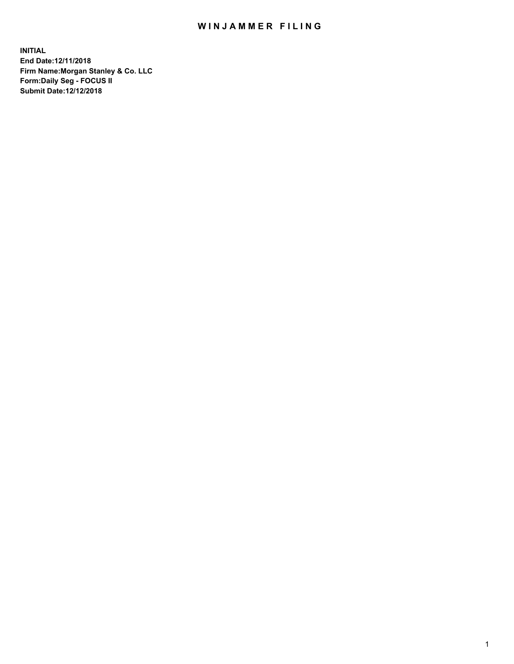## WIN JAMMER FILING

**INITIAL End Date:12/11/2018 Firm Name:Morgan Stanley & Co. LLC Form:Daily Seg - FOCUS II Submit Date:12/12/2018**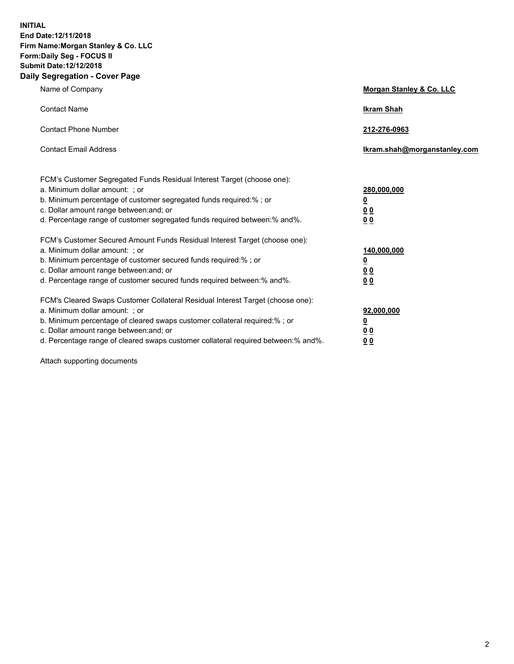**INITIAL End Date:12/11/2018 Firm Name:Morgan Stanley & Co. LLC Form:Daily Seg - FOCUS II Submit Date:12/12/2018 Daily Segregation - Cover Page**

| Name of Company                                                                   | Morgan Stanley & Co. LLC     |
|-----------------------------------------------------------------------------------|------------------------------|
| <b>Contact Name</b>                                                               | <b>Ikram Shah</b>            |
| <b>Contact Phone Number</b>                                                       | 212-276-0963                 |
| <b>Contact Email Address</b>                                                      | Ikram.shah@morganstanley.com |
| FCM's Customer Segregated Funds Residual Interest Target (choose one):            |                              |
| a. Minimum dollar amount: ; or                                                    | 280,000,000                  |
| b. Minimum percentage of customer segregated funds required:% ; or                | <u>0</u>                     |
| c. Dollar amount range between: and; or                                           | <u>00</u>                    |
| d. Percentage range of customer segregated funds required between:% and%.         | 0 <sub>0</sub>               |
| FCM's Customer Secured Amount Funds Residual Interest Target (choose one):        |                              |
| a. Minimum dollar amount: ; or                                                    | 140,000,000                  |
| b. Minimum percentage of customer secured funds required:%; or                    | <u>0</u>                     |
| c. Dollar amount range between: and; or                                           | <u>00</u>                    |
| d. Percentage range of customer secured funds required between:% and%.            | 00                           |
| FCM's Cleared Swaps Customer Collateral Residual Interest Target (choose one):    |                              |
| a. Minimum dollar amount: ; or                                                    | 92,000,000                   |
| b. Minimum percentage of cleared swaps customer collateral required:% ; or        | <u>0</u>                     |
| c. Dollar amount range between: and; or                                           | 0 Q                          |
| d. Percentage range of cleared swaps customer collateral required between:% and%. | 00                           |

Attach supporting documents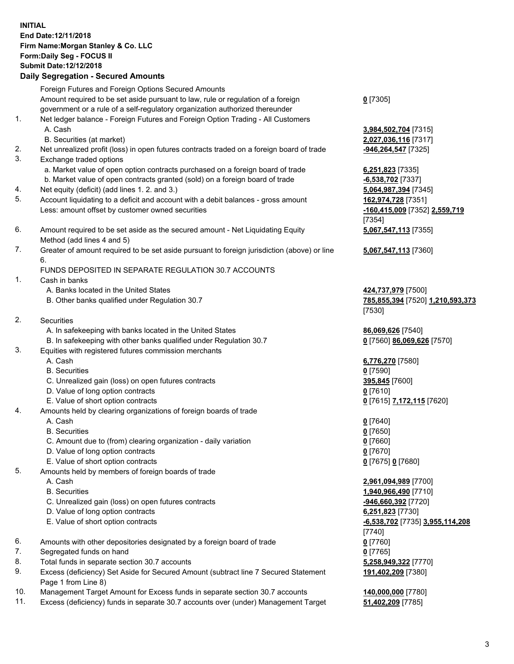## **INITIAL End Date:12/11/2018 Firm Name:Morgan Stanley & Co. LLC Form:Daily Seg - FOCUS II Submit Date:12/12/2018**

## **Daily Segregation - Secured Amounts**

Foreign Futures and Foreign Options Secured Amounts Amount required to be set aside pursuant to law, rule or regulation of a foreign government or a rule of a self-regulatory organization authorized thereunder

- 1. Net ledger balance Foreign Futures and Foreign Option Trading All Customers A. Cash **3,984,502,704** [7315]
	- B. Securities (at market) **2,027,036,116** [7317]
- 2. Net unrealized profit (loss) in open futures contracts traded on a foreign board of trade **-946,264,547** [7325]
- 3. Exchange traded options
	- a. Market value of open option contracts purchased on a foreign board of trade **6,251,823** [7335]
	- b. Market value of open contracts granted (sold) on a foreign board of trade **-6,538,702** [7337]
- 4. Net equity (deficit) (add lines 1. 2. and 3.) **5,064,987,394** [7345]
- 5. Account liquidating to a deficit and account with a debit balances gross amount **162,974,728** [7351] Less: amount offset by customer owned securities **-160,415,009** [7352] **2,559,719**
- 6. Amount required to be set aside as the secured amount Net Liquidating Equity Method (add lines 4 and 5)
- 7. Greater of amount required to be set aside pursuant to foreign jurisdiction (above) or line 6.

## FUNDS DEPOSITED IN SEPARATE REGULATION 30.7 ACCOUNTS

- 1. Cash in banks
	- A. Banks located in the United States **424,737,979** [7500]
	- B. Other banks qualified under Regulation 30.7 **785,855,394** [7520] **1,210,593,373**
- 2. Securities
	- A. In safekeeping with banks located in the United States **86,069,626** [7540]
	- B. In safekeeping with other banks qualified under Regulation 30.7 **0** [7560] **86,069,626** [7570]
- 3. Equities with registered futures commission merchants
	-
	- B. Securities **0** [7590]
	- C. Unrealized gain (loss) on open futures contracts **395,845** [7600]
	- D. Value of long option contracts **0** [7610]
- E. Value of short option contracts **0** [7615] **7,172,115** [7620]
- 4. Amounts held by clearing organizations of foreign boards of trade
	- A. Cash **0** [7640]
	- B. Securities **0** [7650]
	- C. Amount due to (from) clearing organization daily variation **0** [7660]
	- D. Value of long option contracts **0** [7670]
	- E. Value of short option contracts **0** [7675] **0** [7680]
- 5. Amounts held by members of foreign boards of trade
	-
	-
	- C. Unrealized gain (loss) on open futures contracts **-946,660,392** [7720]
	- D. Value of long option contracts **6,251,823** [7730]
	- E. Value of short option contracts **-6,538,702** [7735] **3,955,114,208**
- 6. Amounts with other depositories designated by a foreign board of trade **0** [7760]
- 7. Segregated funds on hand **0** [7765]
- 8. Total funds in separate section 30.7 accounts **5,258,949,322** [7770]
- 9. Excess (deficiency) Set Aside for Secured Amount (subtract line 7 Secured Statement Page 1 from Line 8)
- 10. Management Target Amount for Excess funds in separate section 30.7 accounts **140,000,000** [7780]
- 11. Excess (deficiency) funds in separate 30.7 accounts over (under) Management Target **51,402,209** [7785]

**0** [7305]

[7354] **5,067,547,113** [7355]

**5,067,547,113** [7360]

[7530]

A. Cash **6,776,270** [7580]

 A. Cash **2,961,094,989** [7700] B. Securities **1,940,966,490** [7710] [7740] **191,402,209** [7380]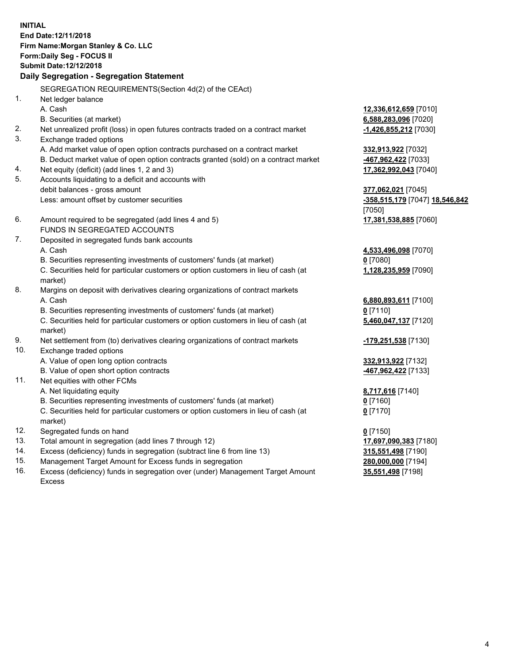**INITIAL End Date:12/11/2018 Firm Name:Morgan Stanley & Co. LLC Form:Daily Seg - FOCUS II Submit Date:12/12/2018 Daily Segregation - Segregation Statement** SEGREGATION REQUIREMENTS(Section 4d(2) of the CEAct) 1. Net ledger balance A. Cash **12,336,612,659** [7010] B. Securities (at market) **6,588,283,096** [7020] 2. Net unrealized profit (loss) in open futures contracts traded on a contract market **-1,426,855,212** [7030] 3. Exchange traded options A. Add market value of open option contracts purchased on a contract market **332,913,922** [7032] B. Deduct market value of open option contracts granted (sold) on a contract market **-467,962,422** [7033] 4. Net equity (deficit) (add lines 1, 2 and 3) **17,362,992,043** [7040] 5. Accounts liquidating to a deficit and accounts with debit balances - gross amount **377,062,021** [7045] Less: amount offset by customer securities **-358,515,179** [7047] **18,546,842** [7050] 6. Amount required to be segregated (add lines 4 and 5) **17,381,538,885** [7060] FUNDS IN SEGREGATED ACCOUNTS 7. Deposited in segregated funds bank accounts A. Cash **4,533,496,098** [7070] B. Securities representing investments of customers' funds (at market) **0** [7080] C. Securities held for particular customers or option customers in lieu of cash (at market) **1,128,235,959** [7090] 8. Margins on deposit with derivatives clearing organizations of contract markets A. Cash **6,880,893,611** [7100] B. Securities representing investments of customers' funds (at market) **0** [7110] C. Securities held for particular customers or option customers in lieu of cash (at market) **5,460,047,137** [7120] 9. Net settlement from (to) derivatives clearing organizations of contract markets **-179,251,538** [7130] 10. Exchange traded options A. Value of open long option contracts **332,913,922** [7132] B. Value of open short option contracts **-467,962,422** [7133] 11. Net equities with other FCMs A. Net liquidating equity **8,717,616** [7140] B. Securities representing investments of customers' funds (at market) **0** [7160] C. Securities held for particular customers or option customers in lieu of cash (at market) **0** [7170] 12. Segregated funds on hand **0** [7150] 13. Total amount in segregation (add lines 7 through 12) **17,697,090,383** [7180] 14. Excess (deficiency) funds in segregation (subtract line 6 from line 13) **315,551,498** [7190]

- 15. Management Target Amount for Excess funds in segregation **280,000,000** [7194]
- 16. Excess (deficiency) funds in segregation over (under) Management Target Amount Excess

4

**35,551,498** [7198]